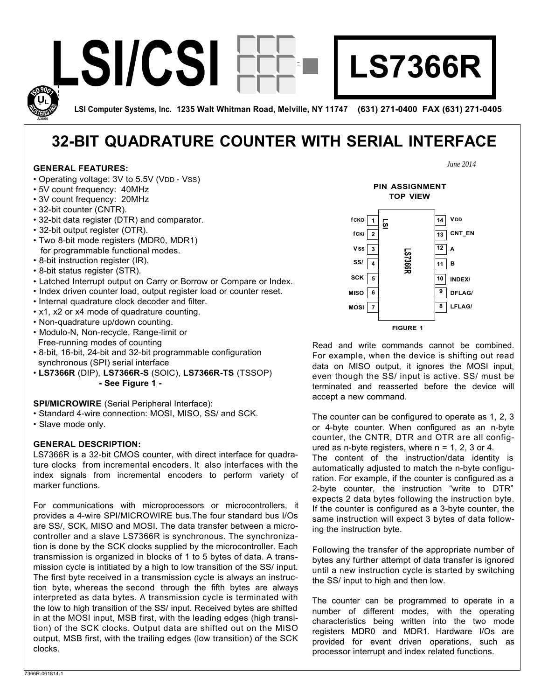

**LSI Computer Systems, Inc. 1235 Walt Whitman Road, Melville, NY 11747 (631) 271-0400 FAX (631) 271-0405** 

# **32-BIT QUADRATURE COUNTER WITH SERIAL INTERFACE**

#### **GENERAL FEATURES:**

**A3800** 

- Operating voltage: 3V to 5.5V (VDD VSS)
- 5V count frequency: 40MHz
- 3V count frequency: 20MHz
- 32-bit counter (CNTR).
- 32-bit data register (DTR) and comparator.
- 32-bit output register (OTR).
- Two 8-bit mode registers (MDR0, MDR1) for programmable functional modes.
- 8-bit instruction register (IR).
- 8-bit status register (STR).
- Latched Interrupt output on Carry or Borrow or Compare or Index.
- Index driven counter load, output register load or counter reset.
- Internal quadrature clock decoder and filter.
- x1, x2 or x4 mode of quadrature counting.
- Non-quadrature up/down counting.
- Modulo-N, Non-recycle, Range-limit or Free-running modes of counting
- 8-bit, 16-bit, 24-bit and 32-bit programmable configuration synchronous (SPI) serial interface
- **LS7366R** (DIP), **LS7366R-S** (SOIC), **LS7366R-TS** (TSSOP) **- See Figure 1 -**

**SPI/MICROWIRE** (Serial Peripheral Interface):

- Standard 4-wire connection: MOSI, MISO, SS/ and SCK.
- Slave mode only.

#### **GENERAL DESCRIPTION:**

LS7366R is a 32-bit CMOS counter, with direct interface for quadrature clocks from incremental encoders. It also interfaces with the index signals from incremental encoders to perform variety of marker functions.

For communications with microprocessors or microcontrollers, it provides a 4-wire SPI/MICROWIRE bus.The four standard bus I/Os are SS/, SCK, MISO and MOSI. The data transfer between a microcontroller and a slave LS7366R is synchronous. The synchronization is done by the SCK clocks supplied by the microcontroller. Each transmission is organized in blocks of 1 to 5 bytes of data. A transmission cycle is intitiated by a high to low transition of the SS/ input. The first byte received in a transmission cycle is always an instruction byte, whereas the second through the fifth bytes are always interpreted as data bytes. A transmission cycle is terminated with the low to high transition of the SS/ input. Received bytes are shifted in at the MOSI input, MSB first, with the leading edges (high transition) of the SCK clocks. Output data are shifted out on the MISO output, MSB first, with the trailing edges (low transition) of the SCK clocks.





Read and write commands cannot be combined. For example, when the device is shifting out read data on MISO output, it ignores the MOSI input, even though the SS/ input is active. SS/ must be terminated and reasserted before the device will accept a new command.

The counter can be configured to operate as 1, 2, 3 or 4-byte counter. When configured as an n-byte counter, the CNTR, DTR and OTR are all configured as n-byte registers, where  $n = 1, 2, 3$  or 4.

The content of the instruction/data identity is automatically adjusted to match the n-byte configuration. For example, if the counter is configured as a 2-byte counter, the instruction "write to DTR" expects 2 data bytes following the instruction byte. If the counter is configured as a 3-byte counter, the same instruction will expect 3 bytes of data following the instruction byte.

Following the transfer of the appropriate number of bytes any further attempt of data transfer is ignored until a new instruction cycle is started by switching the SS/ input to high and then low.

The counter can be programmed to operate in a number of different modes, with the operating characteristics being written into the two mode registers MDR0 and MDR1. Hardware I/Os are provided for event driven operations, such as processor interrupt and index related functions.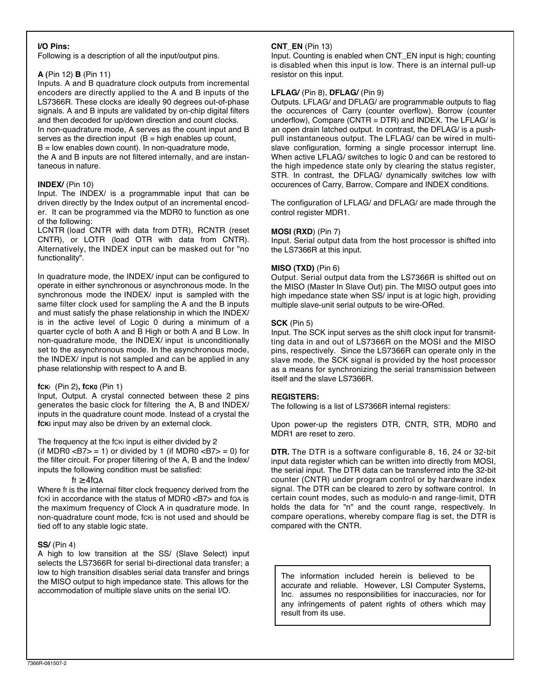## **I/O Pins:**

Following is a description of all the input/output pins.

## **A (**Pin 12) **B** (Pin 11)

Inputs. A and B quadrature clock outputs from incremental encoders are directly applied to the A and B inputs of the LS7366R. These clocks are ideally 90 degrees out-of-phase signals. A and B inputs are validated by on-chip digital filters and then decoded for up/down direction and count clocks. In non-quadrature mode, A serves as the count input and B serves as the direction input  $(B = high$  enables up count,

 $B =$  low enables down count). In non-quadrature mode,

the A and B inputs are not filtered internally, and are instantaneous in nature.

## **INDEX/** (Pin 10)

Input. The INDEX/ is a programmable input that can be driven directly by the Index output of an incremental encoder. It can be programmed via the MDR0 to function as one of the following:

LCNTR (load CNTR with data from DTR), RCNTR (reset CNTR), or LOTR (load OTR with data from CNTR). Alternatively, the INDEX input can be masked out for "no functionality".

In quadrature mode, the INDEX/ input can be configured to operate in either synchronous or asynchronous mode. In the synchronous mode the INDEX/ input is sampled with the same filter clock used for sampling the A and the B inputs and must satisfy the phase relationship in which the INDEX/ is in the active level of Logic 0 during a minimum of a quarter cycle of both A and B High or both A and B Low. In non-quadrature mode, the INDEX/ input is unconditionally set to the asynchronous mode. In the asynchronous mode, the INDEX/ input is not sampled and can be applied in any phase relationship with respect to A and B.

#### **fCK**i (Pin 2)**, fCK0** (Pin 1)

Input, Output. A crystal connected between these 2 pins generates the basic clock for filtering the A, B and INDEX/ inputs in the quadrature count mode. Instead of a crystal the **fCKi** input may also be driven by an external clock.

The frequency at the fcki input is either divided by 2

(if MDR0  $\langle B7 \rangle = 1$ ) or divided by 1 (if MDR0  $\langle B7 \rangle = 0$ ) for the filter circuit. For proper filtering of the A, B and the Index/ inputs the following condition must be satisfied:

#### ff 4fQA

Where ff is the internal filter clock frequency derived from the fcki in accordance with the status of MDR0 <B7> and foa is the maximum frequency of Clock A in quadrature mode. In non-quadrature count mode, fCKi is not used and should be tied off to any stable logic state.

#### **SS/** (Pin 4)

A high to low transition at the SS/ (Slave Select) input selects the LS7366R for serial bi-directional data transfer; a low to high transition disables serial data transfer and brings the MISO output to high impedance state. This allows for the accommodation of multiple slave units on the serial I/O.

## **CNT\_EN** (Pin 13)

Input. Counting is enabled when CNT\_EN input is high; counting is disabled when this input is low. There is an internal pull-up resistor on this input.

# **LFLAG/** (Pin 8), **DFLAG/** (Pin 9)

Outputs. LFLAG/ and DFLAG/ are programmable outputs to flag the occurences of Carry (counter overflow), Borrow (counter underflow), Compare (CNTR = DTR) and INDEX. The LFLAG/ is an open drain latched output. In contrast, the DFLAG/ is a pushpull instantaneous output. The LFLAG/ can be wired in multislave configuration, forming a single processor interrupt line. When active LFLAG/ switches to logic 0 and can be restored to the high impedence state only by clearing the status register, STR. In contrast, the DFLAG/ dynamically switches low with occurences of Carry, Barrow, Compare and INDEX conditions.

The configuration of LFLAG/ and DFLAG/ are made through the control register MDR1.

## **MOSI (RXD**) (Pin 7)

Input. Serial output data from the host processor is shifted into the LS7366R at this input.

## **MISO (TXD)** (Pin 6)

Output. Serial output data from the LS7366R is shifted out on the MISO (Master In Slave Out) pin. The MISO output goes into high impedance state when SS/ input is at logic high, providing multiple slave-unit serial outputs to be wire-ORed.

## **SCK** (Pin 5)

Input. The SCK input serves as the shift clock input for transmitting data in and out of LS7366R on the MOSI and the MISO pins, respectively. Since the LS7366R can operate only in the slave mode, the SCK signal is provided by the host processor as a means for synchronizing the serial transmission between itself and the slave LS7366R.

#### **REGISTERS:**

The following is a list of LS7366R internal registers:

Upon power-up the registers DTR, CNTR, STR, MDR0 and MDR1 are reset to zero.

**DTR.** The DTR is a software configurable 8, 16, 24 or 32-bit input data register which can be written into directly from MOSI, the serial input. The DTR data can be transferred into the 32-bit counter (CNTR) under program control or by hardware index signal. The DTR can be cleared to zero by software control. In certain count modes, such as modulo-n and range-limit, DTR holds the data for "n" and the count range, respectively. In compare operations, whereby compare flag is set, the DTR is compared with the CNTR.

The information included herein is believed to be accurate and reliable. However, LSI Computer Systems, Inc. assumes no responsibilities for inaccuracies, nor for any infringements of patent rights of others which may result from its use.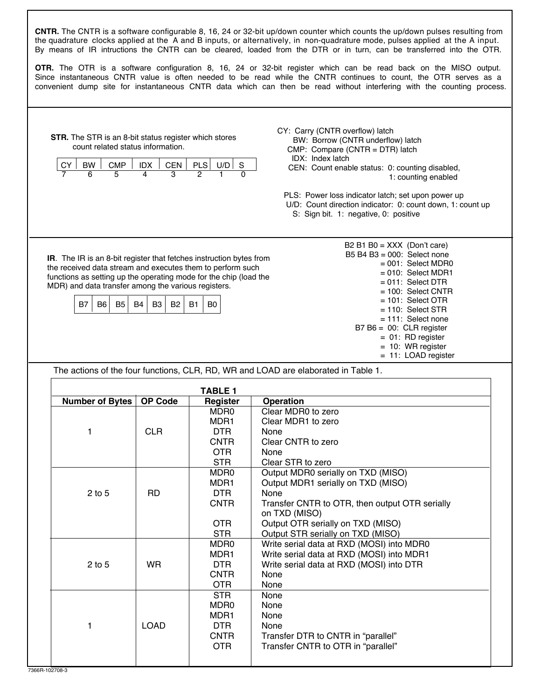**STR.** The STR is an 8-bit status register which stores count related status information.  $\begin{array}{|c|c|c|c|c|c|c|c|c|c|c|} \hline \text{CY} & \text{BW} & \text{CMP} & \text{DIX} & \text{CEN} & \text{PLS} & \text{UD} & \text{S} \\ \hline \hline \text{7} & \text{6} & \text{5} & \text{4} & \text{3} & \text{2} & \text{1} & \text{0} \\ \hline \end{array}$  7 6 5 4 3 2 1 0 **IR**. The IR is an 8-bit register that fetches instruction bytes from the received data stream and executes them to perform such functions as setting up the operating mode for the chip (load the MDR) and data transfer among the various registers. B7 | B6 | B5 | B4 | B3 | B2 | B1 | B0  $B2 B1 B0 = XXX (Don't care)$  B5 B4 B3 = 000: Select none  $= 001$ : Select MDR0  $= 010$ : Select MDR1  $= 011$ : Select DTR = 100: Select CNTR = 101: Select OTR = 110: Select STR = 111: Select none  $B7 B6 = 00$ : CLR register  $= 01$ : RD register = 10: WR register = 11: LOAD register The actions of the four functions, CLR, RD, WR and LOAD are elaborated in Table 1. **TABLE 1 Number of Bytes OP Code Register Operation<br>MDR0 Clear MDR0** MDR0 | Clear MDR0 to zero<br>MDR1 | Clear MDR1 to zero MDR1 Clear MDR1 to zero<br>DTR None 1 CLR DTR None CNTR | Clear CNTR to zero<br>OTR | None OTR None<br>STR Clear STR Clear STR to zero<br>
MDR0 Output MDR0 seria Output MDR0 serially on TXD (MISO) MDR1 | Output MDR1 serially on TXD (MISO)<br>DTR | None 2 to 5 | RD | DTR | None  $C\text{NTR}$   $\Box$  Transfer CNTR to OTR, then output OTR serially on TXD (MISO) OTR Cutput OTR serially on TXD (MISO)<br>STR Cutput STR serially on TXD (MISO) STR Cutput STR serially on TXD (MISO)<br>MDR0 Write serial data at RXD (MOSI) into MDR0 Write serial data at RXD (MOSI) into MDR0<br>MDR1 Write serial data at RXD (MOSI) into MDR1 Write serial data at RXD (MOSI) into MDR1 2 to 5 WR DTR Write serial data at RXD (MOSI) into DTR<br>CNTR None CNTR None<br>OTR None  $\frac{\overline{OR}}{\overline{STR}}$ None<br>None MDR0 MDR1 None<br>DTR None 1 | LOAD | DTR | None CNTR Transfer DTR to CNTR in "parallel"<br>OTR Transfer CNTR to OTR in "parallel" Transfer CNTR to OTR in "parallel" **CNTR.** The CNTR is a software configurable 8, 16, 24 or 32-bit up/down counter which counts the up/down pulses resulting from the quadrature clocks applied at the A and B inputs, or alternatively, in non-quadrature mode, pulses applied at the A input. By means of IR intructions the CNTR can be cleared, loaded from the DTR or in turn, can be transferred into the OTR. **OTR.** The OTR is a software configuration 8, 16, 24 or 32-bit register which can be read back on the MISO output. Since instantaneous CNTR value is often needed to be read while the CNTR continues to count, the OTR serves as a convenient dump site for instantaneous CNTR data which can then be read without interfering with the counting process. CY: Carry (CNTR overflow) latch BW: Borrow (CNTR underflow) latch CMP: Compare (CNTR = DTR) latch IDX: Index latch CEN: Count enable status: 0: counting disabled, 1: counting enabled PLS: Power loss indicator latch; set upon power up U/D: Count direction indicator: 0: count down, 1: count up S: Sign bit. 1: negative, 0: positive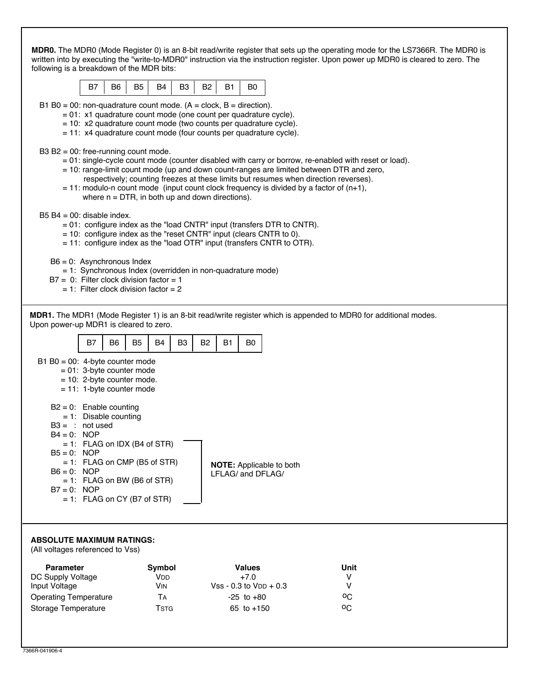|                                                                                                                                                                                                                                                                                         |                                                    |                                 |                |                |                                              |                                 | MDR0. The MDR0 (Mode Register 0) is an 8-bit read/write register that sets up the operating mode for the LS7366R. The MDR0 is<br>written into by executing the "write-to-MDR0" instruction via the instruction register. Upon power up MDR0 is cleared to zero. The                                                                                                                        |  |
|-----------------------------------------------------------------------------------------------------------------------------------------------------------------------------------------------------------------------------------------------------------------------------------------|----------------------------------------------------|---------------------------------|----------------|----------------|----------------------------------------------|---------------------------------|--------------------------------------------------------------------------------------------------------------------------------------------------------------------------------------------------------------------------------------------------------------------------------------------------------------------------------------------------------------------------------------------|--|
| following is a breakdown of the MDR bits:<br>B7                                                                                                                                                                                                                                         | B <sub>5</sub><br>B <sub>6</sub>                   | B4                              | B <sub>3</sub> | B <sub>2</sub> | B <sub>0</sub><br><b>B1</b>                  |                                 |                                                                                                                                                                                                                                                                                                                                                                                            |  |
|                                                                                                                                                                                                                                                                                         |                                                    |                                 |                |                |                                              |                                 |                                                                                                                                                                                                                                                                                                                                                                                            |  |
| B1 B0 = 00: non-quadrature count mode. $(A = clock, B = direction)$ .<br>= 01: x1 quadrature count mode (one count per quadrature cycle).<br>= 10: x2 quadrature count mode (two counts per quadrature cycle).<br>$= 11$ : x4 quadrature count mode (four counts per quadrature cycle). |                                                    |                                 |                |                |                                              |                                 |                                                                                                                                                                                                                                                                                                                                                                                            |  |
| B3 B2 = $00$ : free-running count mode.                                                                                                                                                                                                                                                 | where $n = DTR$ , in both up and down directions). |                                 |                |                |                                              |                                 | = 01: single-cycle count mode (counter disabled with carry or borrow, re-enabled with reset or load).<br>= 10: range-limit count mode (up and down count-ranges are limited between DTR and zero,<br>respectively; counting freezes at these limits but resumes when direction reverses).<br>$= 11$ : modulo-n count mode (input count clock frequency is divided by a factor of $(n+1)$ , |  |
| $B5 B4 = 00$ : disable index.<br>$= 01$ : configure index as the "load CNTR" input (transfers DTR to CNTR).<br>$= 10$ : configure index as the "reset CNTR" input (clears CNTR to 0).<br>$= 11$ : configure index as the "load OTR" input (transfers CNTR to OTR).                      |                                                    |                                 |                |                |                                              |                                 |                                                                                                                                                                                                                                                                                                                                                                                            |  |
| $B6 = 0$ : Asynchronous Index<br>= 1: Synchronous Index (overridden in non-quadrature mode)<br>$B7 = 0$ : Filter clock division factor = 1<br>$= 1$ : Filter clock division factor $= 2$                                                                                                |                                                    |                                 |                |                |                                              |                                 |                                                                                                                                                                                                                                                                                                                                                                                            |  |
| Upon power-up MDR1 is cleared to zero.                                                                                                                                                                                                                                                  |                                                    |                                 |                |                |                                              |                                 | MDR1. The MDR1 (Mode Register 1) is an 8-bit read/write register which is appended to MDR0 for additional modes.                                                                                                                                                                                                                                                                           |  |
| B7                                                                                                                                                                                                                                                                                      | B <sub>5</sub><br>B <sub>6</sub>                   | <b>B4</b>                       | B <sub>3</sub> | B <sub>2</sub> | B <sub>1</sub><br>B <sub>0</sub>             |                                 |                                                                                                                                                                                                                                                                                                                                                                                            |  |
| B1 B0 = $00$ : 4-byte counter mode<br>$= 01: 3$ -byte counter mode<br>$= 10$ : 2-byte counter mode.<br>$= 11: 1$ -byte counter mode                                                                                                                                                     |                                                    |                                 |                |                |                                              |                                 |                                                                                                                                                                                                                                                                                                                                                                                            |  |
| $B2 = 0$ : Enable counting<br>$= 1$ : Disable counting<br>$B3 = 1$ not used<br>B4 = 0: NOP<br>$= 1$ : FLAG on IDX (B4 of STR)                                                                                                                                                           |                                                    |                                 |                |                |                                              |                                 |                                                                                                                                                                                                                                                                                                                                                                                            |  |
| $B5 = 0$ : NOP<br>$= 1$ : FLAG on CMP (B5 of STR)<br>$B6 = 0$ : NOP<br>$= 1$ : FLAG on BW (B6 of STR)<br>$B7 = 0$ : NOP<br>$= 1$ : FLAG on CY (B7 of STR)                                                                                                                               |                                                    |                                 |                |                | LFLAG/ and DFLAG/                            | <b>NOTE:</b> Applicable to both |                                                                                                                                                                                                                                                                                                                                                                                            |  |
| <b>ABSOLUTE MAXIMUM RATINGS:</b>                                                                                                                                                                                                                                                        |                                                    |                                 |                |                |                                              |                                 |                                                                                                                                                                                                                                                                                                                                                                                            |  |
| (All voltages referenced to Vss)                                                                                                                                                                                                                                                        |                                                    |                                 |                |                |                                              |                                 |                                                                                                                                                                                                                                                                                                                                                                                            |  |
| <b>Parameter</b><br>DC Supply Voltage                                                                                                                                                                                                                                                   |                                                    | Symbol<br><b>V<sub>DD</sub></b> |                |                | <b>Values</b><br>$+7.0$                      |                                 | Unit<br>V                                                                                                                                                                                                                                                                                                                                                                                  |  |
| Input Voltage<br><b>Operating Temperature</b>                                                                                                                                                                                                                                           |                                                    | <b>VIN</b><br>TA                |                |                | $Vss - 0.3$ to $VDD + 0.3$<br>$-25$ to $+80$ |                                 | v<br>$^{\circ}$ C                                                                                                                                                                                                                                                                                                                                                                          |  |
| Storage Temperature                                                                                                                                                                                                                                                                     |                                                    | <b>TSTG</b>                     |                |                | 65 to $+150$                                 |                                 |                                                                                                                                                                                                                                                                                                                                                                                            |  |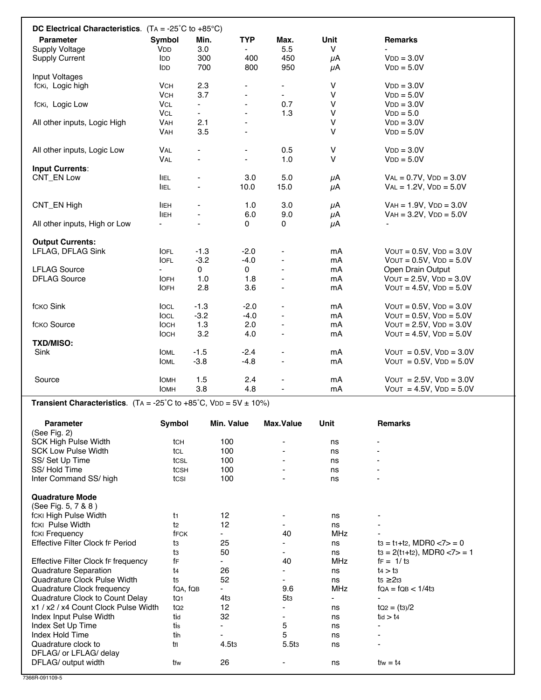| DC Electrical Characteristics. $(TA = -25^{\circ}C \text{ to } +85^{\circ}C)$ |                       |                          |                |                |                         |                               |
|-------------------------------------------------------------------------------|-----------------------|--------------------------|----------------|----------------|-------------------------|-------------------------------|
| <b>Parameter</b>                                                              | <b>Symbol</b>         | Min.                     | <b>TYP</b>     | Max.           | <b>Unit</b>             | <b>Remarks</b>                |
| <b>Supply Voltage</b>                                                         | <b>V<sub>DD</sub></b> | 3.0                      |                | 5.5            | V                       |                               |
| <b>Supply Current</b>                                                         | <b>IDD</b>            | 300                      | 400            | 450            | μA                      | $VDD = 3.0V$                  |
|                                                                               | <b>IDD</b>            | 700                      | 800            | 950            | μA                      | $VDD = 5.0V$                  |
| Input Voltages                                                                |                       |                          |                |                |                         |                               |
| fcki, Logic high                                                              | <b>VCH</b>            | 2.3                      |                | ٠              | V                       | $VDD = 3.0V$                  |
|                                                                               | <b>VCH</b>            | 3.7                      |                | ٠              | $\vee$                  | $VDD = 5.0V$                  |
| fcki, Logic Low                                                               | <b>VCL</b>            | ÷.                       |                | 0.7            | $\sf V$                 | $VDD = 3.0V$                  |
|                                                                               | <b>VCL</b>            | ÷.                       |                | 1.3            | $\mathsf{V}$            | $VDD = 5.0$                   |
| All other inputs, Logic High                                                  | <b>VAH</b>            | 2.1                      |                |                | $\vee$                  | $VDD = 3.0V$                  |
|                                                                               | <b>VAH</b>            | 3.5                      | $\blacksquare$ |                | $\vee$                  | $VDD = 5.0V$                  |
|                                                                               |                       |                          |                |                |                         |                               |
| All other inputs, Logic Low                                                   | VAL                   | $\overline{\phantom{0}}$ |                | 0.5            | $\sf V$<br>$\mathsf{V}$ | $VDD = 3.0V$                  |
|                                                                               | VAL                   | ä,                       |                | 1.0            |                         | $VDD = 5.0V$                  |
| <b>Input Currents:</b>                                                        |                       |                          |                |                |                         |                               |
| <b>CNT_EN Low</b>                                                             | <b>IIEL</b>           | $\blacksquare$           | 3.0            | 5.0            | $\mu$ A                 | $VAL = 0.7V$ , $VDD = 3.0V$   |
|                                                                               | <b>IIEL</b>           | $\overline{\phantom{0}}$ | 10.0           | 15.0           | $\mu$ A                 | $VAL = 1.2V$ , $VDD = 5.0V$   |
| CNT_EN High                                                                   | <b>IIEH</b>           | $\overline{\phantom{a}}$ | 1.0            | 3.0            | μA                      | $VAH = 1.9V$ , $VDD = 3.0V$   |
|                                                                               | <b>IIEH</b>           | ä,                       | 6.0            | 9.0            | $\mu$ A                 | $VAH = 3.2V$ , $VDD = 5.0V$   |
| All other inputs, High or Low                                                 |                       | $\frac{1}{2}$            | 0              | 0              | μA                      |                               |
|                                                                               |                       |                          |                |                |                         |                               |
| <b>Output Currents:</b>                                                       |                       |                          |                |                |                         |                               |
| LFLAG, DFLAG Sink                                                             | <b>IOFL</b>           | $-1.3$                   | $-2.0$         |                | mA                      | $V$ OUT = 0.5V, $V$ DD = 3.0V |
|                                                                               | <b>IOFL</b>           | $-3.2$                   | $-4.0$         |                | mA                      | $V$ OUT = 0.5V, $V$ DD = 5.0V |
| <b>LFLAG Source</b>                                                           |                       | $\mathbf 0$              | 0              |                | mA                      | Open Drain Output             |
| <b>DFLAG Source</b>                                                           | <b>IOFH</b>           | 1.0                      | 1.8            |                | mA                      | $V$ OUT = 2.5V, $V$ DD = 3.0V |
|                                                                               | <b>IOFH</b>           | 2.8                      | 3.6            |                | mA                      | $V$ OUT = 4.5V, $V$ DD = 5.0V |
| <b>fcкo Sink</b>                                                              | <b>IOCL</b>           | $-1.3$                   | $-2.0$         | ä,             | mA                      | $V$ OUT = 0.5V, $V$ DD = 3.0V |
|                                                                               | <b>IOCL</b>           | $-3.2$                   | $-4.0$         | $\blacksquare$ | mA                      | $V$ OUT = 0.5V, $V$ DD = 5.0V |
| <b>fcкo Source</b>                                                            | <b>IOCH</b>           | 1.3                      | 2.0            |                | mA                      | $V$ OUT = 2.5V, $V$ DD = 3.0V |
|                                                                               | <b>IOCH</b>           | 3.2                      | 4.0            |                | mA                      | $V$ OUT = 4.5V, $V$ DD = 5.0V |
| <b>TXD/MISO:</b>                                                              |                       |                          |                |                |                         |                               |
| Sink                                                                          | <b>IOML</b>           | $-1.5$                   | $-2.4$         |                | mA                      | $V$ OUT = 0.5V, $V$ DD = 3.0V |
|                                                                               | <b>IOML</b>           | $-3.8$                   | $-4.8$         | ä,             | mA                      | $VOUT = 0.5V, VDD = 5.0V$     |
|                                                                               |                       |                          |                |                |                         |                               |
| Source                                                                        | <b>IOMH</b>           | 1.5                      | 2.4            |                | mA                      | $VOUT = 2.5V, VDD = 3.0V$     |
|                                                                               | Іомн                  | 3.8                      | 4.8            |                | mA                      | $VOUT = 4.5V, VDD = 5.0V$     |

**Transient Characteristics**. (TA =  $-25^{\circ}$ C to  $+85^{\circ}$ C, VDD =  $5V \pm 10\%$ )

| <b>Parameter</b>                     | Symbol          | Min. Value        | Max. Value               | Unit       | <b>Remarks</b>                    |
|--------------------------------------|-----------------|-------------------|--------------------------|------------|-----------------------------------|
| (See Fig. 2)                         |                 |                   |                          |            |                                   |
| <b>SCK High Pulse Width</b>          | tch             | 100               | $\overline{\phantom{a}}$ | ns         | $\overline{\phantom{0}}$          |
| <b>SCK Low Pulse Width</b>           | tcl             | 100               |                          | ns         |                                   |
| SS/Set Up Time                       | tcsL            | 100               |                          | ns         |                                   |
| SS/Hold Time                         | tcsh            | 100               |                          | ns         |                                   |
| Inter Command SS/ high               | tcs             | 100               |                          | ns         |                                   |
| <b>Quadrature Mode</b>               |                 |                   |                          |            |                                   |
| (See Fig. 5, 7 & 8)                  |                 |                   |                          |            |                                   |
| fcki High Pulse Width                | t1              | 12                | -                        | ns         |                                   |
| fcki Pulse Width                     | t2              | 12                |                          | ns         |                                   |
| fcki Frequency                       | fFCK            |                   | 40                       | <b>MHz</b> |                                   |
| Effective Filter Clock fr Period     | tз              | 25                |                          | ns         | $ts = t_1 + t_2$ , MDR0 $< 7 > 0$ |
|                                      | tз              | 50                | ۰                        | ns         | $ts = 2(t_1+t_2)$ , MDR0 <7> = 1  |
| Effective Filter Clock fr frequency  | fF              |                   | 40                       | <b>MHz</b> | $f = 1/ts$                        |
| Quadrature Separation                | t4              | 26                |                          | ns         | $t_4 > t_3$                       |
| Quadrature Clock Pulse Width         | t5              | 52                | ۰                        | ns         | 2 <sub>t3</sub><br>t5             |
| Quadrature Clock frequency           | fQA, fQB        |                   | 9.6                      | <b>MHz</b> | $fQA = fQB < 1/4t3$               |
| Quadrature Clock to Count Delay      | tQ1             | 4t <sub>3</sub>   | 5t3                      |            |                                   |
| x1 / x2 / x4 Count Clock Pulse Width | tQ <sub>2</sub> | 12                |                          | ns         | $tQ2 = (t3)/2$                    |
| Index Input Pulse Width              | tid             | 32                |                          | ns         | $t$ id $> t$ 4                    |
| Index Set Up Time                    | tis             |                   | 5                        | ns         | ٠                                 |
| Index Hold Time                      | tih             | ٠                 | 5                        | ns         | ٠                                 |
| Quadrature clock to                  | tfl             | 4.5t <sub>3</sub> | 5.5 <sub>t3</sub>        | ns         | ۰                                 |
| DFLAG/ or LFLAG/ delay               |                 |                   |                          |            |                                   |
| DFLAG/ output width                  | tfw             | 26                |                          | ns         | $t$ fw = $t$ 4                    |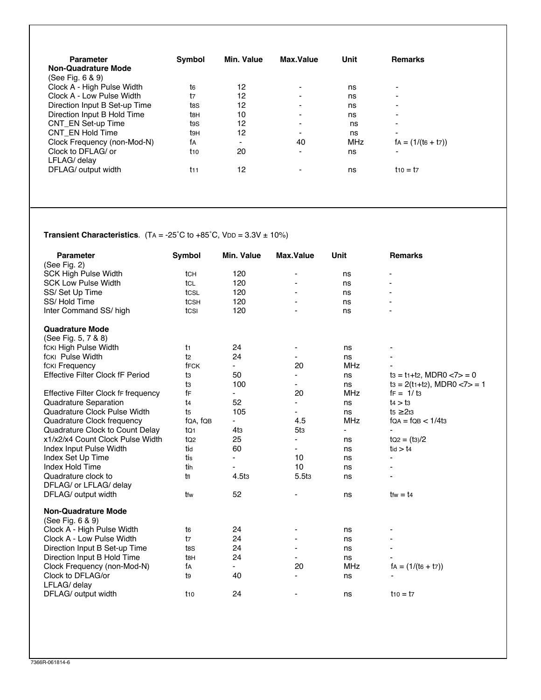| <b>Parameter</b><br><b>Non-Quadrature Mode</b><br>(See Fig. 6 & 9) | <b>Symbol</b> | Min. Value | Max. Value               | Unit       | <b>Remarks</b>           |
|--------------------------------------------------------------------|---------------|------------|--------------------------|------------|--------------------------|
| Clock A - High Pulse Width                                         | t6            | 12         | ۰                        | ns         | ۰                        |
| Clock A - Low Pulse Width                                          | t7            | 12         |                          | ns         | ۰                        |
| Direction Input B Set-up Time                                      | t8S           | 12         | $\blacksquare$           | ns         | ۰                        |
| Direction Input B Hold Time                                        | tвн           | 10         | $\blacksquare$           | ns         | ٠                        |
| CNT EN Set-up Time                                                 | t9S           | 12         |                          | ns         | ۰                        |
| CNT EN Hold Time                                                   | t9H           | 12         | $\overline{\phantom{0}}$ | ns         | $\overline{\phantom{0}}$ |
| Clock Frequency (non-Mod-N)                                        | fА            | -          | 40                       | <b>MHz</b> | $fa = (1/(te + t7))$     |
| Clock to DFLAG/ or<br>LFLAG/ delay                                 | $t_{10}$      | 20         | $\blacksquare$           | ns         | $\blacksquare$           |
| DFLAG/ output width                                                | $t_{11}$      | 12         | $\overline{\phantom{0}}$ | ns         | $110 = 17$               |

# **Transient Characteristics**. (TA = -25°C to +85°C, VDD =  $3.3V \pm 10\%$ )

| <b>Parameter</b>                        | <b>Symbol</b>   | <b>Min. Value</b>        | <b>Max.Value</b>         | <b>Unit</b>              | <b>Remarks</b>                    |
|-----------------------------------------|-----------------|--------------------------|--------------------------|--------------------------|-----------------------------------|
| (See Fig. $2$ )                         |                 |                          |                          |                          |                                   |
| <b>SCK High Pulse Width</b>             | tch             | 120                      | $\overline{\phantom{a}}$ | ns                       | -                                 |
| <b>SCK Low Pulse Width</b>              | tcl             | 120                      |                          | ns                       |                                   |
| SS/Set Up Time                          | tcsL            | 120                      |                          | ns                       |                                   |
| SS/Hold Time                            | tcsh            | 120                      |                          | ns                       |                                   |
| Inter Command SS/ high                  | tcsı            | 120                      |                          | ns                       |                                   |
| <b>Quadrature Mode</b>                  |                 |                          |                          |                          |                                   |
| (See Fig. 5, 7 & 8)                     |                 |                          |                          |                          |                                   |
| fcki High Pulse Width                   | t1              | 24                       |                          | ns                       |                                   |
| fcki Pulse Width                        | t2              | 24                       |                          | ns                       |                                   |
| fcki Frequency                          | fFCK            |                          | 20                       | <b>MHz</b>               |                                   |
| <b>Effective Filter Clock fF Period</b> | tз              | 50                       |                          | ns                       | $ts = t_1 + t_2$ , MDR0 $< 7 > 0$ |
|                                         | tз              | 100                      |                          | ns                       | $ts = 2(t_1+t_2)$ , MDR0 $<7>1$   |
| Effective Filter Clock fr frequency     | fF              | $\overline{\phantom{0}}$ | 20                       | <b>MHz</b>               | $f = 1/13$                        |
| Quadrature Separation                   | t4              | 52                       |                          | ns                       | $t_4 > t_3$                       |
| Quadrature Clock Pulse Width            | t5              | 105                      | $\blacksquare$           | ns                       | 2t3<br>t5                         |
| Quadrature Clock frequency              | fQA, fQB        | -                        | 4.5                      | <b>MHz</b>               | $fQA = fQB < 1/4t3$               |
| Quadrature Clock to Count Delay         | tQ1             | 4t <sub>3</sub>          | 5t <sub>3</sub>          | $\overline{\phantom{a}}$ |                                   |
| x1/x2/x4 Count Clock Pulse Width        | tQ <sub>2</sub> | 25                       | $\blacksquare$           | ns                       | $tQ2 = (t3)/2$                    |
| Index Input Pulse Width                 | tid             | 60                       | $\blacksquare$           | ns                       | tid > t4                          |
| Index Set Up Time                       | tis             | $\overline{\phantom{0}}$ | 10                       | ns                       | $\overline{\phantom{a}}$          |
| Index Hold Time                         | tin             | ۰                        | 10                       | ns                       | $\overline{\phantom{a}}$          |
| Quadrature clock to                     | tfl             | 4.5t <sub>3</sub>        | 5.5t <sub>3</sub>        | ns                       |                                   |
| DFLAG/ or LFLAG/ delay                  |                 |                          |                          |                          |                                   |
| DFLAG/ output width                     | tfw             | 52                       |                          | ns                       | $t$ fw = $t$ 4                    |
| <b>Non-Quadrature Mode</b>              |                 |                          |                          |                          |                                   |
| (See Fig. 6 & 9)                        |                 |                          |                          |                          |                                   |
| Clock A - High Pulse Width              | t6              | 24                       |                          | ns                       |                                   |
| Clock A - Low Pulse Width               | t7              | 24                       |                          | ns                       |                                   |
| Direction Input B Set-up Time           | t8S             | 24                       |                          | ns                       |                                   |
| Direction Input B Hold Time             | t8H             | 24                       |                          | ns                       |                                   |
| Clock Frequency (non-Mod-N)             | fА              |                          | 20                       | <b>MHz</b>               | $fa = (1/(ta + t7))$              |
| Clock to DFLAG/or                       | t9              | 40                       |                          | ns                       |                                   |
| LFLAG/ delay                            |                 |                          |                          |                          |                                   |
| DFLAG/ output width                     | t10             | 24                       | $\overline{\phantom{a}}$ | ns                       | $t_{10} = t_{7}$                  |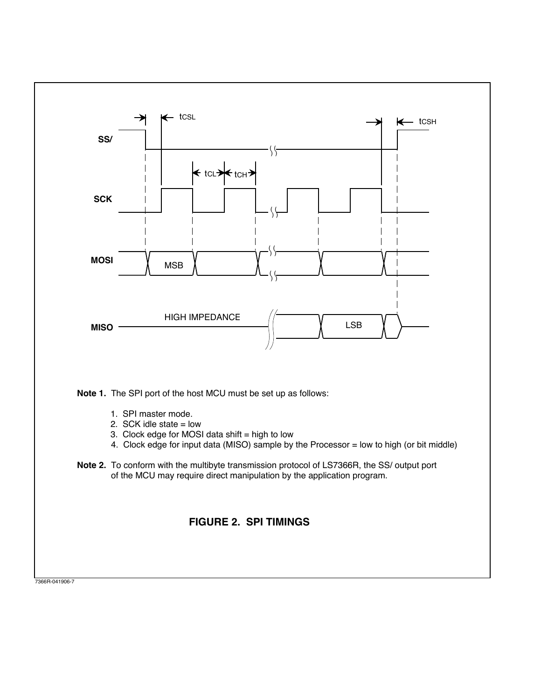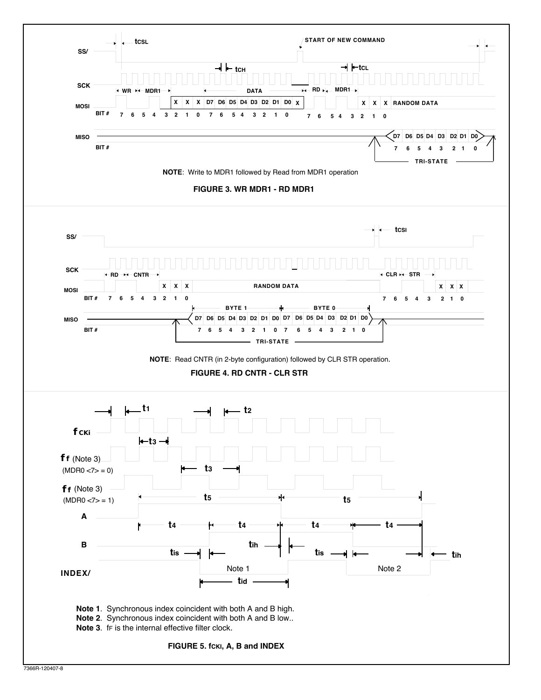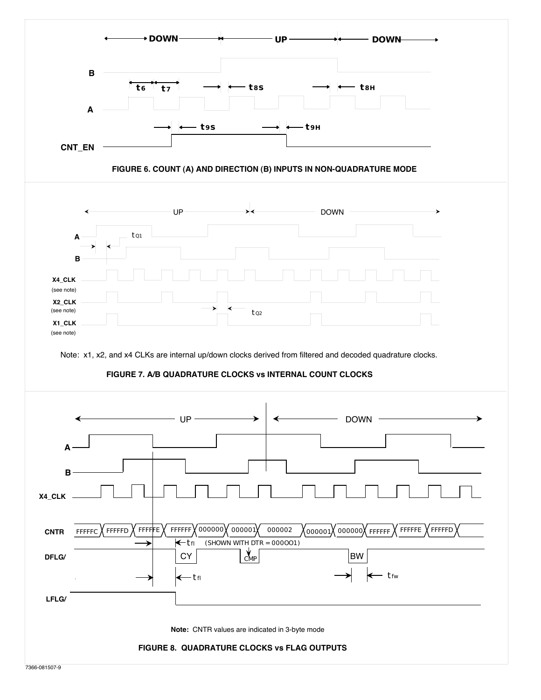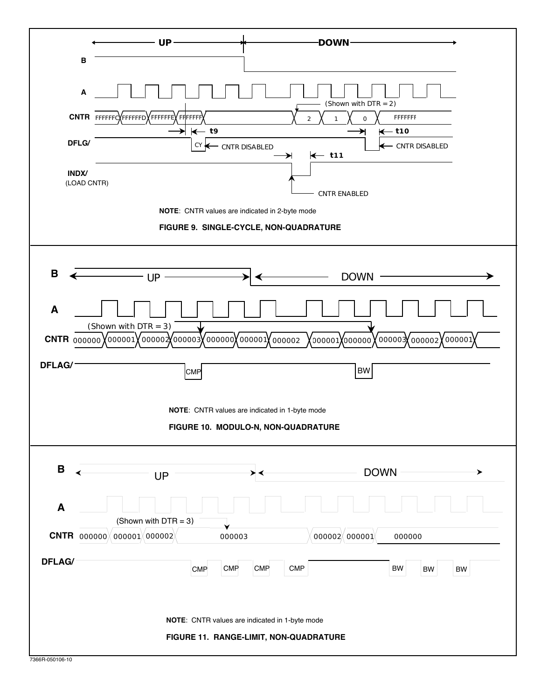|                | - UP -                                                                         | -DOWN-                                                                               |
|----------------|--------------------------------------------------------------------------------|--------------------------------------------------------------------------------------|
|                | $\, {\bf B}$                                                                   |                                                                                      |
|                | A<br>CNTR FFFFFFCXFFFFFFDXFFFFFFEXFFFFFFF<br>$\leftarrow$ to                   | (Shown with DTR = 2)<br>FFFFFFF<br>$\mathsf O$<br>$\overline{2}$<br>$\leftarrow$ t10 |
|                | DFLG/<br>$CY \leftarrow$<br>- CNTR DISABLED                                    | - CNTR DISABLED<br>$\leftarrow$ t11                                                  |
|                | <b>INDX/</b><br>(LOAD CNTR)                                                    | <b>CNTR ENABLED</b>                                                                  |
|                | NOTE: CNTR values are indicated in 2-byte mode                                 |                                                                                      |
|                | FIGURE 9. SINGLE-CYCLE, NON-QUADRATURE                                         |                                                                                      |
| B              | UP-                                                                            | <b>DOWN</b>                                                                          |
| A              | (Shown with $DTR = 3$ )                                                        |                                                                                      |
|                | <b>CNTR</b> $000000$ $0000001$ $0000002$ $000003$ $000000$ $0000001$ $0000002$ | 200001 000000                                                                        |
| <b>DFLAG/</b>  | <b>CMP</b>                                                                     | <b>BW</b>                                                                            |
|                | NOTE: CNTR values are indicated in 1-byte mode                                 |                                                                                      |
|                |                                                                                | FIGURE 10. MODULO-N, NON-QUADRATURE                                                  |
| $\mathbf B$    | <b>UP</b>                                                                      | DOWN -                                                                               |
| A              | (Shown with $DTR = 3$ )                                                        |                                                                                      |
|                | <b>CNTR</b> $0000000 \times 000001 \times 000002$<br>000003                    | 000002 000001<br>000000                                                              |
| <b>DFLAG/</b>  | <b>CMP</b><br><b>CMP</b>                                                       | CMP<br><b>CMP</b><br>BW<br>BW<br>BW                                                  |
|                | NOTE: CNTR values are indicated in 1-byte mode                                 |                                                                                      |
|                |                                                                                | FIGURE 11. RANGE-LIMIT, NON-QUADRATURE                                               |
| 20000000000000 |                                                                                |                                                                                      |

7366R-050106-10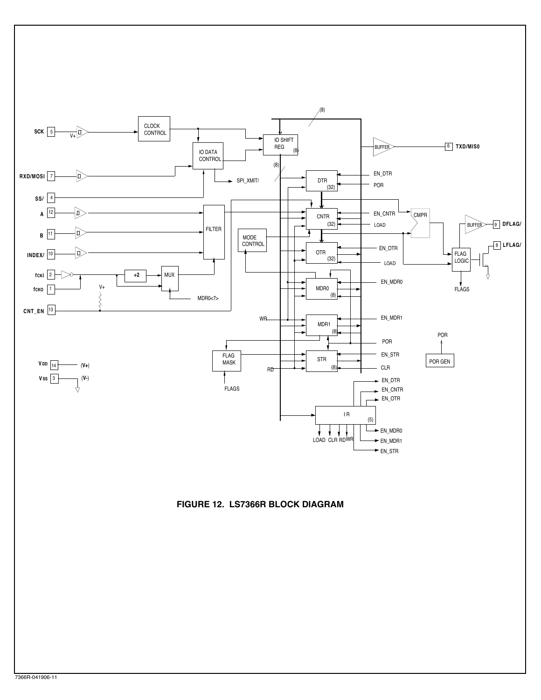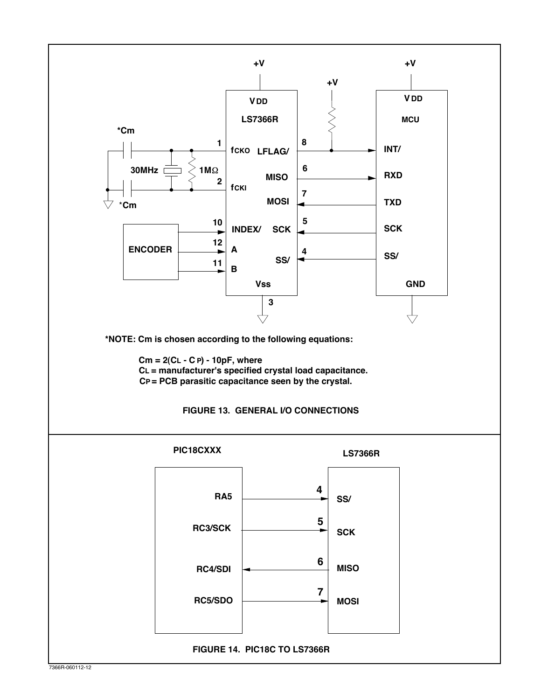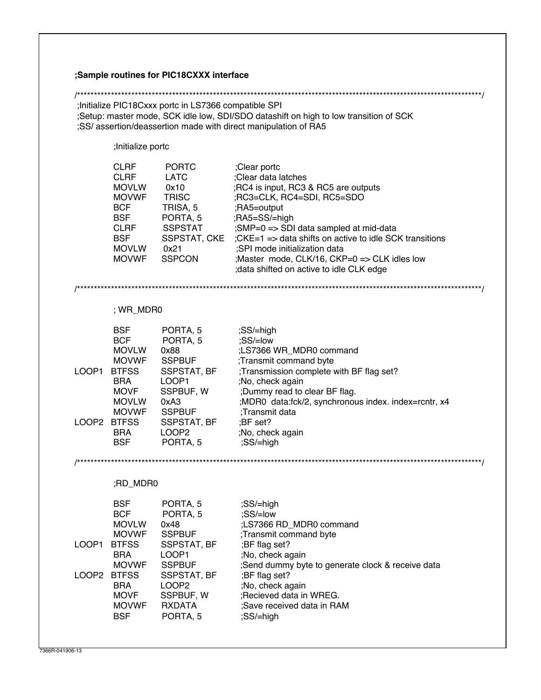|                      |                                                                                                                                                     | ;Sample routines for PIC18CXXX interface                                                                                                                             |                                                                                                                                                                                                                                                                                                                                                                              |
|----------------------|-----------------------------------------------------------------------------------------------------------------------------------------------------|----------------------------------------------------------------------------------------------------------------------------------------------------------------------|------------------------------------------------------------------------------------------------------------------------------------------------------------------------------------------------------------------------------------------------------------------------------------------------------------------------------------------------------------------------------|
|                      |                                                                                                                                                     |                                                                                                                                                                      |                                                                                                                                                                                                                                                                                                                                                                              |
|                      |                                                                                                                                                     | Initialize PIC18Cxxx portc in LS7366 compatible SPI;                                                                                                                 | ;Setup: master mode, SCK idle low, SDI/SDO datashift on high to low transition of SCK<br>;SS/assertion/deassertion made with direct manipulation of RA5                                                                                                                                                                                                                      |
|                      | ;Initialize portc                                                                                                                                   |                                                                                                                                                                      |                                                                                                                                                                                                                                                                                                                                                                              |
|                      | <b>CLRF</b><br><b>CLRF</b><br><b>MOVLW</b><br><b>MOVWF</b><br><b>BCF</b><br><b>BSF</b><br><b>CLRF</b><br><b>BSF</b><br><b>MOVLW</b><br><b>MOVWF</b> | <b>PORTC</b><br><b>LATC</b><br>0x10<br><b>TRISC</b><br>TRISA, 5<br>PORTA, 5<br><b>SSPSTAT</b><br>SSPSTAT, CKE<br>0x21<br><b>SSPCON</b>                               | ;Clear portc<br>;Clear data latches<br>;RC4 is input, RC3 & RC5 are outputs<br>;RC3=CLK, RC4=SDI, RC5=SDO<br>;RA5=output<br>;RA5=SS/=high<br>;SMP=0 => SDI data sampled at mid-data<br>;CKE=1 => data shifts on active to idle SCK transitions<br>:SPI mode initialization data<br>;Master mode, CLK/16, CKP=0 => CLK idles low<br>; data shifted on active to idle CLK edge |
|                      | ; WR_MDR0                                                                                                                                           |                                                                                                                                                                      |                                                                                                                                                                                                                                                                                                                                                                              |
| LOOP1 BTFSS          | <b>BSF</b><br><b>BCF</b><br><b>MOVLW</b><br><b>MOVWF</b><br><b>BRA</b><br><b>MOVF</b>                                                               | PORTA, 5<br>PORTA, 5<br>0x88<br><b>SSPBUF</b><br>SSPSTAT, BF<br>LOOP1<br>SSPBUF, W                                                                                   | ;SS/=high<br>;SS/=low<br>;LS7366 WR_MDR0 command<br>;Transmit command byte<br>;Transmission complete with BF flag set?<br>;No, check again<br>;Dummy read to clear BF flag.                                                                                                                                                                                                  |
| LOOP2 BTFSS          | <b>MOVLW</b><br><b>MOVWF</b><br><b>BRA</b><br><b>BSF</b>                                                                                            | 0xA3<br><b>SSPBUF</b><br>SSPSTAT, BF<br>LOOP <sub>2</sub><br>PORTA, 5                                                                                                | ;MDR0 data:fck/2, synchronous index. index=rcntr, x4<br>:Transmit data<br>$;BF$ set?<br>;No, check again<br>;SS/=high                                                                                                                                                                                                                                                        |
|                      |                                                                                                                                                     |                                                                                                                                                                      |                                                                                                                                                                                                                                                                                                                                                                              |
|                      | ;RD_MDR0                                                                                                                                            |                                                                                                                                                                      |                                                                                                                                                                                                                                                                                                                                                                              |
| LOOP1<br>LOOP2 BTFSS | <b>BSF</b><br><b>BCF</b><br><b>MOVLW</b><br><b>MOVWF</b><br><b>BTFSS</b><br>BRA<br><b>MOVWF</b><br><b>BRA</b><br><b>MOVF</b><br><b>MOVWF</b><br>BSF | PORTA, 5<br>PORTA, 5<br>0x48<br><b>SSPBUF</b><br>SSPSTAT, BF<br>LOOP1<br><b>SSPBUF</b><br>SSPSTAT, BF<br>LOOP <sub>2</sub><br>SSPBUF, W<br><b>RXDATA</b><br>PORTA, 5 | ;SS/=high<br>;SS/=low<br>;LS7366 RD_MDR0 command<br>;Transmit command byte<br>;BF flag set?<br>;No, check again<br>;Send dummy byte to generate clock & receive data<br>;BF flag set?<br>;No, check again<br>:Recieved data in WREG.<br>;Save received data in RAM<br>;SS/=high                                                                                              |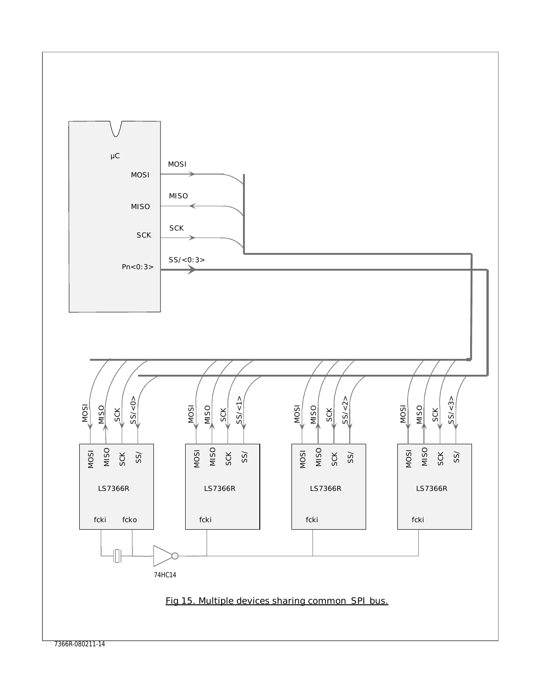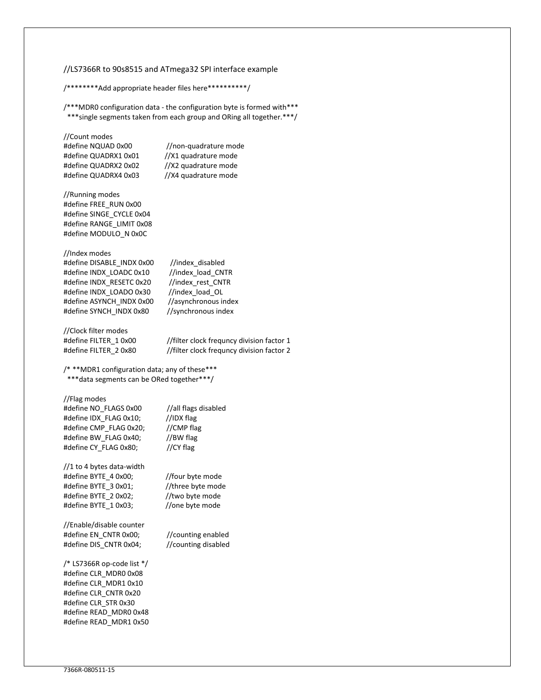#### //LS7366R to 90s8515 and ATmega32 SPI interface example

/\*\*\*\*\*\*\*\*Add appropriate header files here\*\*\*\*\*\*\*\*\*\*/

/\*\*\*MDR0 configuration data - the configuration byte is formed with\*\*\* \*\*\*single segments taken from each group and ORing all together.\*\*\*/

//Count modes

#define QUADRX1 0x01 //X1 quadrature mode #define QUADRX2 0x02 //X2 quadrature mode #define QUADRX4 0x03 //X4 quadrature mode

#define NQUAD 0x00 //non-quadrature mode

//Running modes #define FREE\_RUN 0x00 #define SINGE\_CYCLE 0x04 #define RANGE\_LIMIT 0x08 #define MODULO\_N 0x0C

//Index modes

#define DISABLE\_INDX 0x00 //index\_disabled #define INDX\_LOADC 0x10 //index\_load\_CNTR #define INDX\_RESETC 0x20 //index\_rest\_CNTR #define INDX\_LOADO 0x30 //index\_load\_OL #define ASYNCH\_INDX 0x00 //asynchronous index #define SYNCH\_INDX 0x80 //synchronous index

//Clock filter modes

#define FILTER\_1 0x00 //filter clock frequncy division factor 1 #define FILTER\_2 0x80 //filter clock frequncy division factor 2

/\* \*\*MDR1 configuration data; any of these\*\*\* \*\*\*data segments can be ORed together\*\*\*/

#### //Flag modes

| //all flags disabled |
|----------------------|
| //IDX flag           |
| //CMP flag           |
| //BW flag            |
| //CY flag            |
|                      |

//1 to 4 bytes data-width #define BYTE\_4 0x00; //four byte mode #define BYTE\_3 0x01; //three byte mode #define BYTE\_2 0x02; //two byte mode #define BYTE\_1 0x03; //one byte mode

//Enable/disable counter #define EN\_CNTR 0x00; //counting enabled #define DIS\_CNTR 0x04; //counting disabled

/\* LS7366R op-code list \*/ #define CLR\_MDR0 0x08 #define CLR\_MDR1 0x10 #define CLR\_CNTR 0x20 #define CLR\_STR 0x30 #define READ\_MDR0 0x48 #define READ\_MDR1 0x50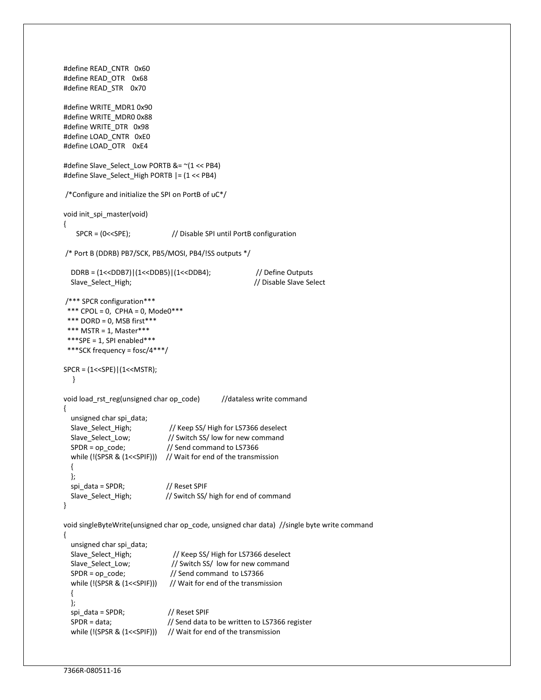```
#define READ_CNTR 0x60 
#define READ_OTR 0x68 
#define READ_STR 0x70 
#define WRITE_MDR1 0x90 
#define WRITE_MDR0 0x88 
#define WRITE_DTR 0x98 
#define LOAD_CNTR 0xE0 
#define LOAD_OTR 0xE4 
#define Slave_Select_Low PORTB &= ~(1 << PB4) 
#define Slave_Select_High PORTB |= (1 << PB4) 
/*Configure and initialize the SPI on PortB of uC*/
void init_spi_master(void) 
{ 
    SPCR = (0<<SPE); // Disable SPI until PortB configuration 
 /* Port B (DDRB) PB7/SCK, PB5/MOSI, PB4/!SS outputs */ 
  DDRB = (1<<DDB7)|(1<<DDB5)|(1<<DDB4); // Define Outputs 
  Slave_Select_High; // Disable Slave Select 
/*** SPCR configuration*** 
*** CPOL = 0, CPHA = 0, Mode0***
*** DORD = 0, MSB first***
 *** MSTR = 1, Master*** 
 ***SPE = 1, SPI enabled*** ***SCK frequency = fosc/4***/
SPCR = (1<<SPE)|(1<<MSTR); 
   } 
void load_rst_reg(unsigned char op_code) //dataless write command
{ 
  unsigned char spi_data; 
 Slave_Select_High; // Keep SS/ High for LS7366 deselect
 Slave_Select_Low; // Switch SS/ low for new command
  SPDR = op_code; // Send command to LS7366 
 while (!(SPSR & (1<<SPIF))) // Wait for end of the transmission
  { 
  };
 spi_data = SPDR; // Reset SPIF
  Slave_Select_High; // Switch SS/ high for end of command 
} 
void singleByteWrite(unsigned char op_code, unsigned char data) //single byte write command 
{ 
  unsigned char spi_data; 
  Slave_Select_High; // Keep SS/ High for LS7366 deselect 
 Slave_Select_Low; // Switch SS/ low for new command
 SPDR = op code; // Send command to LS7366
 while (!(SPSR & (1<<SPIF))) // Wait for end of the transmission
  { 
  };
 spi_data = SPDR; // Reset SPIF
 SPDR = data; \frac{1}{2} // Send data to be written to LS7366 register
 while (!(SPSR & (1<<SPIF))) // Wait for end of the transmission
```